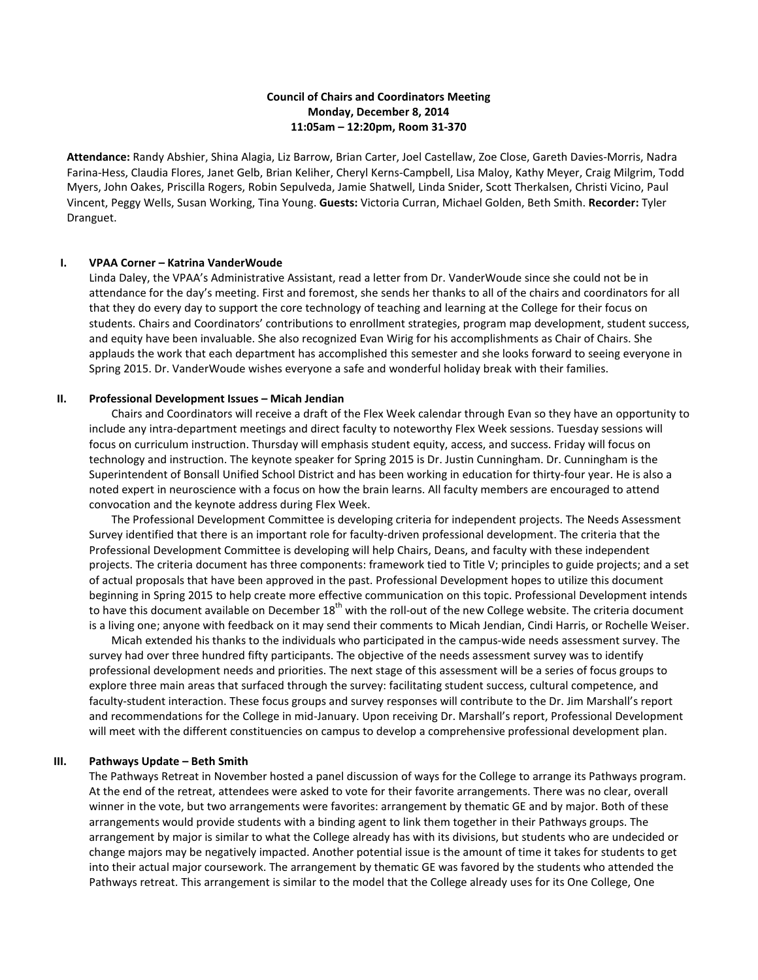# **Council of Chairs and Coordinators Meeting Monday, December 8, 2014 11:05am – 12:20pm, Room 31-370**

**Attendance:** Randy Abshier, Shina Alagia, Liz Barrow, Brian Carter, Joel Castellaw, Zoe Close, Gareth Davies-Morris, Nadra Farina-Hess, Claudia Flores, Janet Gelb, Brian Keliher, Cheryl Kerns-Campbell, Lisa Maloy, Kathy Meyer, Craig Milgrim, Todd Myers, John Oakes, Priscilla Rogers, Robin Sepulveda, Jamie Shatwell, Linda Snider, Scott Therkalsen, Christi Vicino, Paul Vincent, Peggy Wells, Susan Working, Tina Young. **Guests:** Victoria Curran, Michael Golden, Beth Smith. **Recorder:** Tyler Dranguet.

### **I. VPAA Corner – Katrina VanderWoude**

Linda Daley, the VPAA's Administrative Assistant, read a letter from Dr. VanderWoude since she could not be in attendance for the day's meeting. First and foremost, she sends her thanks to all of the chairs and coordinators for all that they do every day to support the core technology of teaching and learning at the College for their focus on students. Chairs and Coordinators' contributions to enrollment strategies, program map development, student success, and equity have been invaluable. She also recognized Evan Wirig for his accomplishments as Chair of Chairs. She applauds the work that each department has accomplished this semester and she looks forward to seeing everyone in Spring 2015. Dr. VanderWoude wishes everyone a safe and wonderful holiday break with their families.

### **II. Professional Development Issues – Micah Jendian**

Chairs and Coordinators will receive a draft of the Flex Week calendar through Evan so they have an opportunity to include any intra-department meetings and direct faculty to noteworthy Flex Week sessions. Tuesday sessions will focus on curriculum instruction. Thursday will emphasis student equity, access, and success. Friday will focus on technology and instruction. The keynote speaker for Spring 2015 is Dr. Justin Cunningham. Dr. Cunningham is the Superintendent of Bonsall Unified School District and has been working in education for thirty-four year. He is also a noted expert in neuroscience with a focus on how the brain learns. All faculty members are encouraged to attend convocation and the keynote address during Flex Week.

The Professional Development Committee is developing criteria for independent projects. The Needs Assessment Survey identified that there is an important role for faculty-driven professional development. The criteria that the Professional Development Committee is developing will help Chairs, Deans, and faculty with these independent projects. The criteria document has three components: framework tied to Title V; principles to guide projects; and a set of actual proposals that have been approved in the past. Professional Development hopes to utilize this document beginning in Spring 2015 to help create more effective communication on this topic. Professional Development intends to have this document available on December  $18<sup>th</sup>$  with the roll-out of the new College website. The criteria document is a living one; anyone with feedback on it may send their comments to Micah Jendian, Cindi Harris, or Rochelle Weiser.

Micah extended his thanks to the individuals who participated in the campus-wide needs assessment survey. The survey had over three hundred fifty participants. The objective of the needs assessment survey was to identify professional development needs and priorities. The next stage of this assessment will be a series of focus groups to explore three main areas that surfaced through the survey: facilitating student success, cultural competence, and faculty-student interaction. These focus groups and survey responses will contribute to the Dr. Jim Marshall's report and recommendations for the College in mid-January. Upon receiving Dr. Marshall's report, Professional Development will meet with the different constituencies on campus to develop a comprehensive professional development plan.

# **III. Pathways Update – Beth Smith**

The Pathways Retreat in November hosted a panel discussion of ways for the College to arrange its Pathways program. At the end of the retreat, attendees were asked to vote for their favorite arrangements. There was no clear, overall winner in the vote, but two arrangements were favorites: arrangement by thematic GE and by major. Both of these arrangements would provide students with a binding agent to link them together in their Pathways groups. The arrangement by major is similar to what the College already has with its divisions, but students who are undecided or change majors may be negatively impacted. Another potential issue is the amount of time it takes for students to get into their actual major coursework. The arrangement by thematic GE was favored by the students who attended the Pathways retreat. This arrangement is similar to the model that the College already uses for its One College, One